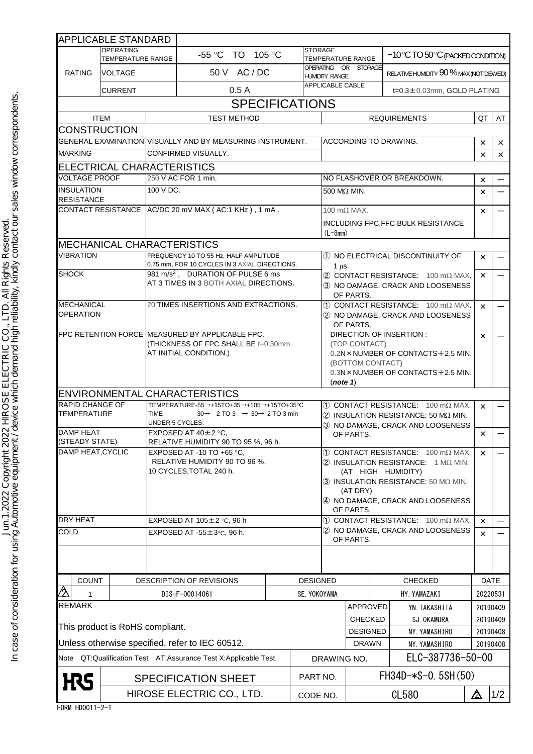|                                                                | <b>APPLICABLE STANDARD</b>          |                                                                                                                                              |                                                           |  |                                                                                                                                         |                                                                                      |                                                  |                                    |                                        |                      |          |
|----------------------------------------------------------------|-------------------------------------|----------------------------------------------------------------------------------------------------------------------------------------------|-----------------------------------------------------------|--|-----------------------------------------------------------------------------------------------------------------------------------------|--------------------------------------------------------------------------------------|--------------------------------------------------|------------------------------------|----------------------------------------|----------------------|----------|
| <b>OPERATING</b><br>TEMPERATURE RANGE                          |                                     |                                                                                                                                              | <b>STORAGE</b><br>TO 105 °C<br>-55 °C                     |  |                                                                                                                                         | TEMPERATURE RANGE                                                                    |                                                  |                                    | $-10$ °C TO 50 °C (PACKED CONDITION)   |                      |          |
| <b>RATING</b>                                                  | <b>VOLTAGE</b>                      |                                                                                                                                              | 50 V AC / DC                                              |  |                                                                                                                                         | OPERATING OR STORAGE<br><b>HUMIDITY RANGE</b>                                        |                                                  |                                    | RELATIVE HUMIDITY 90 % MAX (NOT DEWED) |                      |          |
| <b>CURRENT</b>                                                 |                                     |                                                                                                                                              | 0.5A                                                      |  |                                                                                                                                         | <b>APPLICABLE CABLE</b><br>t=0.3±0.03mm, GOLD PLATING                                |                                                  |                                    |                                        |                      |          |
|                                                                |                                     |                                                                                                                                              | <b>SPECIFICATIONS</b>                                     |  |                                                                                                                                         |                                                                                      |                                                  |                                    |                                        |                      |          |
|                                                                | <b>ITEM</b>                         |                                                                                                                                              | <b>TEST METHOD</b>                                        |  |                                                                                                                                         |                                                                                      |                                                  |                                    | <b>REQUIREMENTS</b>                    | QT                   | AT       |
|                                                                | <b>CONSTRUCTION</b>                 |                                                                                                                                              |                                                           |  |                                                                                                                                         |                                                                                      |                                                  |                                    |                                        |                      |          |
|                                                                |                                     |                                                                                                                                              | GENERAL EXAMINATION VISUALLY AND BY MEASURING INSTRUMENT. |  |                                                                                                                                         | <b>ACCORDING TO DRAWING.</b>                                                         |                                                  |                                    | ×                                      | $\times$             |          |
| <b>MARKING</b>                                                 |                                     | <b>CONFIRMED VISUALLY.</b>                                                                                                                   |                                                           |  |                                                                                                                                         |                                                                                      |                                                  |                                    |                                        | $\times$             | $\times$ |
|                                                                |                                     | ELECTRICAL CHARACTERISTICS                                                                                                                   |                                                           |  |                                                                                                                                         |                                                                                      |                                                  |                                    |                                        |                      |          |
| <b>VOLTAGE PROOF</b>                                           |                                     | 250 V AC FOR 1 min.                                                                                                                          |                                                           |  |                                                                                                                                         | NO FLASHOVER OR BREAKDOWN.                                                           |                                                  |                                    |                                        | $\times$             |          |
| <b>INSULATION</b><br><b>RESISTANCE</b>                         |                                     | 100 V DC.                                                                                                                                    |                                                           |  |                                                                                                                                         | 500 $M\Omega$ MIN.                                                                   |                                                  |                                    |                                        | $\times$             |          |
|                                                                |                                     |                                                                                                                                              | CONTACT RESISTANCE AC/DC 20 mV MAX (AC:1 KHz), 1 mA.      |  |                                                                                                                                         |                                                                                      | 100 m $\Omega$ MAX.                              |                                    |                                        | $\times$             |          |
|                                                                |                                     |                                                                                                                                              |                                                           |  | INCLUDING FPC, FFC BULK RESISTANCE<br>$(L=8$ mm)                                                                                        |                                                                                      |                                                  |                                    |                                        |                      |          |
|                                                                | <b>MECHANICAL CHARACTERISTICS</b>   |                                                                                                                                              |                                                           |  |                                                                                                                                         |                                                                                      |                                                  |                                    |                                        |                      |          |
| <b>VIBRATION</b>                                               |                                     | FREQUENCY 10 TO 55 Hz. HALF AMPLITUDE                                                                                                        |                                                           |  |                                                                                                                                         | 1 NO ELECTRICAL DISCONTINUITY OF                                                     |                                                  |                                    |                                        | $\times$             |          |
| <b>SHOCK</b>                                                   |                                     | 0.75 mm, FOR 10 CYCLES IN 3 AXIAL DIRECTIONS.<br>981 m/s <sup>2</sup> , DURATION OF PULSE 6 ms                                               |                                                           |  |                                                                                                                                         | $1 \mu s$ .                                                                          |                                                  |                                    |                                        | ×                    |          |
|                                                                |                                     |                                                                                                                                              | AT 3 TIMES IN 3 BOTH AXIAL DIRECTIONS.                    |  |                                                                                                                                         | (2) CONTACT RESISTANCE: 100 mΩ MAX.<br>3 NO DAMAGE, CRACK AND LOOSENESS<br>OF PARTS. |                                                  |                                    |                                        |                      |          |
| <b>MECHANICAL</b>                                              |                                     | 20 TIMES INSERTIONS AND EXTRACTIONS.                                                                                                         |                                                           |  | 100 MAX. CONTACT RESISTANCE: 100 MQ MAX.                                                                                                |                                                                                      |                                                  |                                    | $\times$                               |                      |          |
|                                                                | <b>OPERATION</b>                    |                                                                                                                                              |                                                           |  |                                                                                                                                         | 2 NO DAMAGE, CRACK AND LOOSENESS<br>OF PARTS.                                        |                                                  |                                    |                                        |                      |          |
|                                                                |                                     | FPC RETENTION FORCE MEASURED BY APPLICABLE FPC.                                                                                              |                                                           |  | DIRECTION OF INSERTION :<br>(TOP CONTACT)                                                                                               |                                                                                      |                                                  | ×                                  |                                        |                      |          |
|                                                                |                                     | (THICKNESS OF FPC SHALL BE t=0.30mm<br>AT INITIAL CONDITION.)                                                                                |                                                           |  |                                                                                                                                         |                                                                                      |                                                  |                                    | 0.2N × NUMBER OF CONTACTS + 2.5 MIN.   |                      |          |
|                                                                |                                     |                                                                                                                                              |                                                           |  |                                                                                                                                         |                                                                                      | (BOTTOM CONTACT)                                 |                                    |                                        |                      |          |
|                                                                |                                     |                                                                                                                                              |                                                           |  |                                                                                                                                         |                                                                                      | 0.3N × NUMBER OF CONTACTS + 2.5 MIN.<br>(note 1) |                                    |                                        |                      |          |
|                                                                |                                     |                                                                                                                                              | <b>ENVIRONMENTAL CHARACTERISTICS</b>                      |  |                                                                                                                                         |                                                                                      |                                                  |                                    |                                        |                      |          |
| <b>RAPID CHANGE OF</b>                                         |                                     |                                                                                                                                              |                                                           |  |                                                                                                                                         |                                                                                      |                                                  |                                    |                                        |                      |          |
| <b>TEMPERATURE</b>                                             |                                     | TEMPERATURE-55→+15TO+35→+105→+15TO+35°C<br><b>TIME</b><br>$30 \rightarrow 2$ TO 3 $\rightarrow 30 \rightarrow 2$ TO 3 min<br>UNDER 5 CYCLES. |                                                           |  | (1) CONTACT RESISTANCE: 100 mΩ MAX.<br>$(2)$ INSULATION RESISTANCE: 50 M $\Omega$ MIN.<br>3 NO DAMAGE, CRACK AND LOOSENESS<br>OF PARTS. |                                                                                      |                                                  |                                    | $\times$                               |                      |          |
| <b>DAMP HEAT</b>                                               |                                     | EXPOSED AT 40±2 °C,                                                                                                                          |                                                           |  |                                                                                                                                         |                                                                                      |                                                  |                                    | $\times$                               |                      |          |
|                                                                | (STEADY STATE)<br>DAMP HEAT, CYCLIC |                                                                                                                                              | RELATIVE HUMIDITY 90 TO 95 %, 96 h.                       |  |                                                                                                                                         |                                                                                      |                                                  |                                    |                                        |                      |          |
|                                                                |                                     | EXPOSED AT -10 TO +65 °C,<br>RELATIVE HUMIDITY 90 TO 96 %,                                                                                   |                                                           |  | 1 CONTACT RESISTANCE: 100 mΩ MAX.<br>$(2)$ INSULATION RESISTANCE: 1 M $\Omega$ MIN.                                                     |                                                                                      |                                                  |                                    | $\times$                               |                      |          |
|                                                                |                                     | 10 CYCLES, TOTAL 240 h.                                                                                                                      |                                                           |  | (AT HIGH HUMIDITY)<br>3 INSULATION RESISTANCE: 50 ΜΩ ΜΙΝ.                                                                               |                                                                                      |                                                  |                                    |                                        |                      |          |
|                                                                |                                     |                                                                                                                                              |                                                           |  |                                                                                                                                         |                                                                                      |                                                  |                                    |                                        |                      |          |
|                                                                |                                     |                                                                                                                                              |                                                           |  | (AT DRY)<br>4 NO DAMAGE, CRACK AND LOOSENESS<br>OF PARTS.                                                                               |                                                                                      |                                                  |                                    |                                        |                      |          |
| <b>DRY HEAT</b>                                                |                                     | EXPOSED AT $105 \pm 2$ °C, 96 h                                                                                                              |                                                           |  | (1) CONTACT RESISTANCE: 100 mΩ MAX.                                                                                                     |                                                                                      |                                                  |                                    | $\times$                               |                      |          |
| <b>COLD</b>                                                    |                                     | EXPOSED AT $-55 \pm 3$ °C, 96 h.                                                                                                             |                                                           |  |                                                                                                                                         | 2 NO DAMAGE, CRACK AND LOOSENESS<br>OF PARTS.                                        |                                                  |                                    |                                        | $\times$             |          |
|                                                                |                                     |                                                                                                                                              |                                                           |  |                                                                                                                                         |                                                                                      |                                                  |                                    |                                        |                      |          |
| <b>COUNT</b>                                                   |                                     |                                                                                                                                              |                                                           |  |                                                                                                                                         |                                                                                      |                                                  |                                    |                                        |                      |          |
| ∕∂                                                             |                                     |                                                                                                                                              | <b>DESCRIPTION OF REVISIONS</b>                           |  | <b>DESIGNED</b>                                                                                                                         |                                                                                      |                                                  |                                    | <b>CHECKED</b>                         |                      | DATE     |
| 1<br><b>REMARK</b>                                             |                                     |                                                                                                                                              | DIS-F-00014061<br>SE. YOKOYAMA                            |  | HY. YAMAZAKI<br>APPROVED                                                                                                                |                                                                                      | 20220531<br>20190409                             |                                    |                                        |                      |          |
|                                                                |                                     |                                                                                                                                              |                                                           |  |                                                                                                                                         |                                                                                      |                                                  |                                    | YN. TAKASHITA                          |                      |          |
|                                                                | This product is RoHS compliant.     |                                                                                                                                              |                                                           |  | CHECKED<br><b>DESIGNED</b>                                                                                                              |                                                                                      |                                                  | <b>SJ. OKAMURA</b><br>NY.YAMASHIRO | 20190409                               |                      |          |
|                                                                |                                     | Unless otherwise specified, refer to IEC 60512.                                                                                              |                                                           |  |                                                                                                                                         | <b>DRAWN</b>                                                                         |                                                  |                                    | NY. YAMASHIRO                          | 20190408<br>20190408 |          |
| Note QT:Qualification Test AT:Assurance Test X:Applicable Test |                                     |                                                                                                                                              |                                                           |  |                                                                                                                                         | DRAWING NO.                                                                          |                                                  |                                    | ELC-387736-50-00                       |                      |          |
| <b>H</b> RS                                                    |                                     | <b>SPECIFICATION SHEET</b>                                                                                                                   |                                                           |  |                                                                                                                                         | PART NO.                                                                             |                                                  | $FH34D-*S-0.5SH(50)$               |                                        |                      |          |
|                                                                |                                     | HIROSE ELECTRIC CO., LTD.                                                                                                                    |                                                           |  | CODE NO.                                                                                                                                |                                                                                      | <b>CL580</b>                                     |                                    |                                        | $\Delta$             | 1/2      |

FORM HD0011-2-1